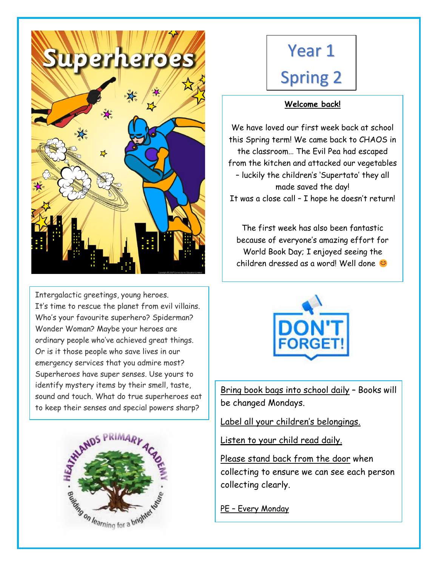

Intergalactic greetings, young heroes. It's time to rescue the planet from evil villains. Who's your favourite superhero? Spiderman? Wonder Woman? Maybe your heroes are ordinary people who've achieved great things. Or is it those people who save lives in our emergency services that you admire most? Superheroes have super senses. Use yours to identify mystery items by their smell, taste, sound and touch. What do true superheroes eat to keep their senses and special powers sharp?



# Year 1 Spring 2

# **Welcome back!**

We have loved our first week back at school this Spring term! We came back to CHAOS in the classroom… The Evil Pea had escaped from the kitchen and attacked our vegetables – luckily the children's 'Supertato' they all made saved the day! It was a close call – I hope he doesn't return!

The first week has also been fantastic because of everyone's amazing effort for World Book Day; I enjoyed seeing the children dressed as a word! Well done



Bring book bags into school daily – Books will be changed Mondays.

Label all your children's belongings.

Listen to your child read daily.

Please stand back from the door when collecting to ensure we can see each person collecting clearly.

PE – Every Monday